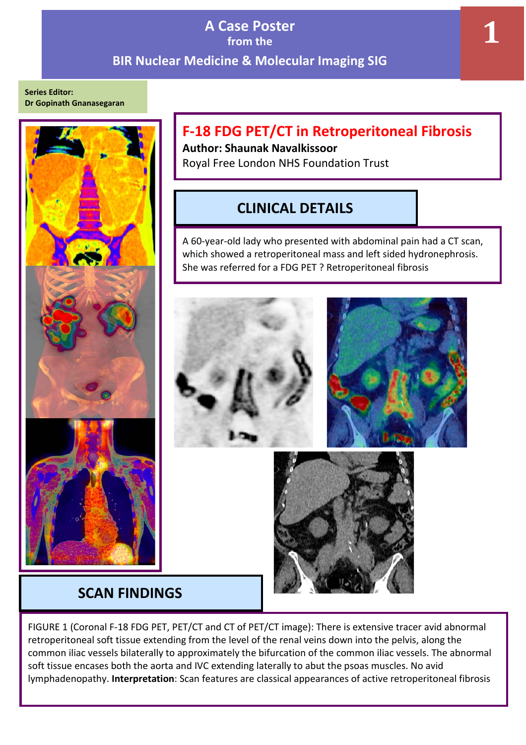## **A Case Poster from the BIR Nuclear Medicine & Molecular Imaging SIG**

**Series Editor: Dr Gopinath Gnanasegaran**



# **F-18 FDG PET/CT in Retroperitoneal Fibrosis**

**Author: Shaunak Navalkissoor** Royal Free London NHS Foundation Trust

# **CLINICAL DETAILS**

A 60-year-old lady who presented with abdominal pain had a CT scan, which showed a retroperitoneal mass and left sided hydronephrosis. She was referred for a FDG PET ? Retroperitoneal fibrosis



## **SCAN FINDINGS**

FIGURE 1 (Coronal F-18 FDG PET, PET/CT and CT of PET/CT image): There is extensive tracer avid abnormal retroperitoneal soft tissue extending from the level of the renal veins down into the pelvis, along the common iliac vessels bilaterally to approximately the bifurcation of the common iliac vessels. The abnormal soft tissue encases both the aorta and IVC extending laterally to abut the psoas muscles. No avid lymphadenopathy. **Interpretation**: Scan features are classical appearances of active retroperitoneal fibrosis